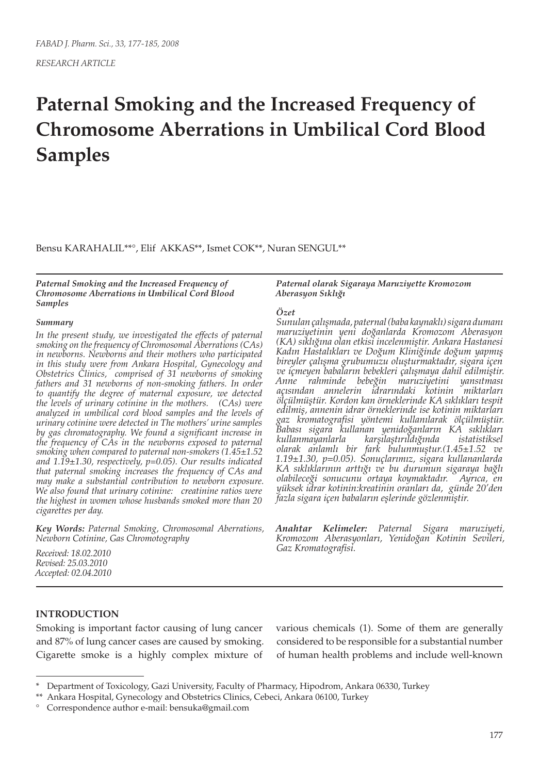# **Paternal Smoking and the Increased Frequency of Chromosome Aberrations in Umbilical Cord Blood Samples**

Bensu KARAHALIL\*\*°, Elif AKKAS\*\*, Ismet COK\*\*, Nuran SENGUL\*\*

*Paternal Smoking and the Increased Frequency of Chromosome Aberrations in Umbilical Cord Blood Samples*

#### *Summary*

*In the present study, we investigated the effects of paternal smoking on the frequency of Chromosomal Aberrations (CAs) in newborns. Newborns and their mothers who participated in this study were from Ankara Hospital, Gynecology and Obstetrics Clinics, comprised of 31 newborns of smoking fathers and 31 newborns of non-smoking fathers. In order to quantify the degree of maternal exposure, we detected the levels of urinary cotinine in the mothers. (CAs) were analyzed in umbilical cord blood samples and the levels of urinary cotinine were detected in The mothers' urine samples by gas chromatography. We found a significant increase in the frequency of CAs in the newborns exposed to paternal smoking when compared to paternal non-smokers (1.45±1.52 and 1.19±1.30, respectively, p=0.05). Our results indicated that paternal smoking increases the frequency of CAs and may make a substantial contribution to newborn exposure. We also found that urinary cotinine: creatinine ratios were the highest in women whose husbands smoked more than 20 cigarettes per day.*

*Key Words: Paternal Smoking, Chromosomal Aberrations, Newborn Cotinine, Gas Chromotography*

*Received: 18.02.2010 Revised: 25.03.2010 Accepted: 02.04.2010*

#### *Paternal olarak Sigaraya Maruziyette Kromozom Aberasyon Sıklığı*

#### *Özet*

*Sunulan çalışmada, paternal (baba kaynaklı) sigara dumanı maruziyetinin yeni doğanlarda Kromozom Aberasyon (KA) sıklığına olan etkisi incelenmiştir. Ankara Hastanesi Kadın Hastalıkları ve Doğum Kliniğinde doğum yapmış bireyler çalışma grubumuzu oluşturmaktadır, sigara içen ve içmeyen babaların bebekleri çalışmaya dahil edilmiştir. Anne rahminde bebeğin maruziyetini yansıtması açısından annelerin idrarındaki kotinin miktarları ölçülmüştür. Kordon kan örneklerinde KA sıklıkları tespit edilmiş, annenin idrar örneklerinde ise kotinin miktarları gaz kromatografisi yöntemi kullanılarak ölçülmüştür. Babası sigara kullanan yenidoğanların KA sıklıkları kullanmayanlarla karşılaştırıldığında istatistiksel olarak anlamlı bir fark bulunmuştur.(1.45±1.52 ve 1.19±1.30, p=0.05). Sonuçlarımız, sigara kullananlarda KA sıklıklarının arttığı ve bu durumun sigaraya bağlı olabileceği sonucunu ortaya koymaktadır. Ayrıca, en yüksek idrar kotinin:kreatinin oranları da, günde 20'den fazla sigara içen babaların eşlerinde gözlenmiştir.*

*Anahtar Kelimeler: Paternal Sigara maruziyeti, Kromozom Aberasyonları, Yenidoğan Kotinin Sevileri, Gaz Kromatografisi.*

#### **INTRODUCTION**

Smoking is important factor causing of lung cancer and 87% of lung cancer cases are caused by smoking. Cigarette smoke is a highly complex mixture of

various chemicals (1). Some of them are generally considered to be responsible for a substantial number of human health problems and include well-known

<sup>\*</sup> Department of Toxicology, Gazi University, Faculty of Pharmacy, Hipodrom, Ankara 06330, Turkey

<sup>\*\*</sup> Ankara Hospital, Gynecology and Obstetrics Clinics, Cebeci, Ankara 06100, Turkey

<sup>°</sup> Correspondence author e-mail: bensuka@gmail.com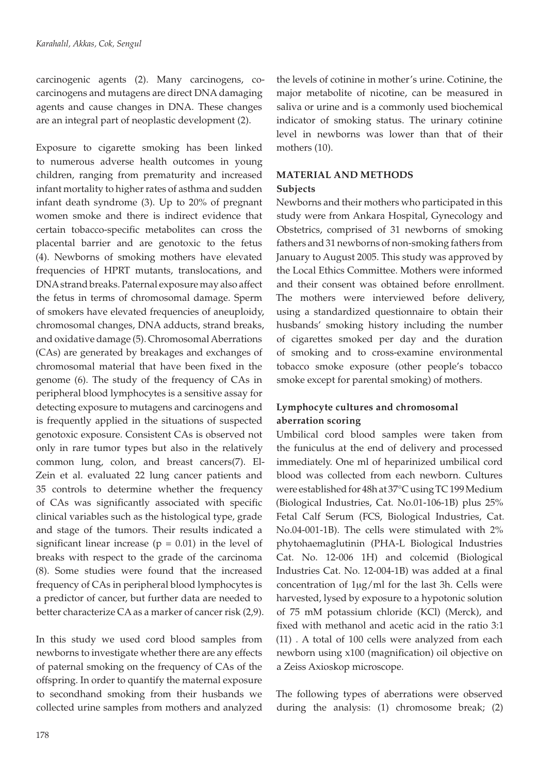carcinogenic agents (2). Many carcinogens, cocarcinogens and mutagens are direct DNA damaging agents and cause changes in DNA. These changes are an integral part of neoplastic development (2).

Exposure to cigarette smoking has been linked to numerous adverse health outcomes in young children, ranging from prematurity and increased infant mortality to higher rates of asthma and sudden infant death syndrome (3). Up to 20% of pregnant women smoke and there is indirect evidence that certain tobacco-specific metabolites can cross the placental barrier and are genotoxic to the fetus (4). Newborns of smoking mothers have elevated frequencies of HPRT mutants, translocations, and DNA strand breaks. Paternal exposure may also affect the fetus in terms of chromosomal damage. Sperm of smokers have elevated frequencies of aneuploidy, chromosomal changes, DNA adducts, strand breaks, and oxidative damage (5). Chromosomal Aberrations (CAs) are generated by breakages and exchanges of chromosomal material that have been fixed in the genome (6). The study of the frequency of CAs in peripheral blood lymphocytes is a sensitive assay for detecting exposure to mutagens and carcinogens and is frequently applied in the situations of suspected genotoxic exposure. Consistent CAs is observed not only in rare tumor types but also in the relatively common lung, colon, and breast cancers(7). El-Zein et al. evaluated 22 lung cancer patients and 35 controls to determine whether the frequency of CAs was significantly associated with specific clinical variables such as the histological type, grade and stage of the tumors. Their results indicated a significant linear increase ( $p = 0.01$ ) in the level of breaks with respect to the grade of the carcinoma (8). Some studies were found that the increased frequency of CAs in peripheral blood lymphocytes is a predictor of cancer, but further data are needed to better characterize CA as a marker of cancer risk (2,9).

In this study we used cord blood samples from newborns to investigate whether there are any effects of paternal smoking on the frequency of CAs of the offspring. In order to quantify the maternal exposure to secondhand smoking from their husbands we collected urine samples from mothers and analyzed the levels of cotinine in mother's urine. Cotinine, the major metabolite of nicotine, can be measured in saliva or urine and is a commonly used biochemical indicator of smoking status. The urinary cotinine level in newborns was lower than that of their mothers (10).

## **MATERIAL AND METHODS Subjects**

Newborns and their mothers who participated in this study were from Ankara Hospital, Gynecology and Obstetrics, comprised of 31 newborns of smoking fathers and 31 newborns of non-smoking fathers from January to August 2005. This study was approved by the Local Ethics Committee. Mothers were informed and their consent was obtained before enrollment. The mothers were interviewed before delivery, using a standardized questionnaire to obtain their husbands' smoking history including the number of cigarettes smoked per day and the duration of smoking and to cross-examine environmental tobacco smoke exposure (other people's tobacco smoke except for parental smoking) of mothers.

# **Lymphocyte cultures and chromosomal aberration scoring**

Umbilical cord blood samples were taken from the funiculus at the end of delivery and processed immediately. One ml of heparinized umbilical cord blood was collected from each newborn. Cultures were established for 48h at 37°C using TC 199 Medium (Biological Industries, Cat. No.01-106-1B) plus 25% Fetal Calf Serum (FCS, Biological Industries, Cat. No.04-001-1B). The cells were stimulated with 2% phytohaemaglutinin (PHA-L Biological Industries Cat. No. 12-006 1H) and colcemid (Biological Industries Cat. No. 12-004-1B) was added at a final concentration of  $1\mu$ g/ml for the last 3h. Cells were harvested, lysed by exposure to a hypotonic solution of 75 mM potassium chloride (KCl) (Merck), and fixed with methanol and acetic acid in the ratio 3:1 (11) . A total of 100 cells were analyzed from each newborn using x100 (magnification) oil objective on a Zeiss Axioskop microscope.

The following types of aberrations were observed during the analysis: (1) chromosome break; (2)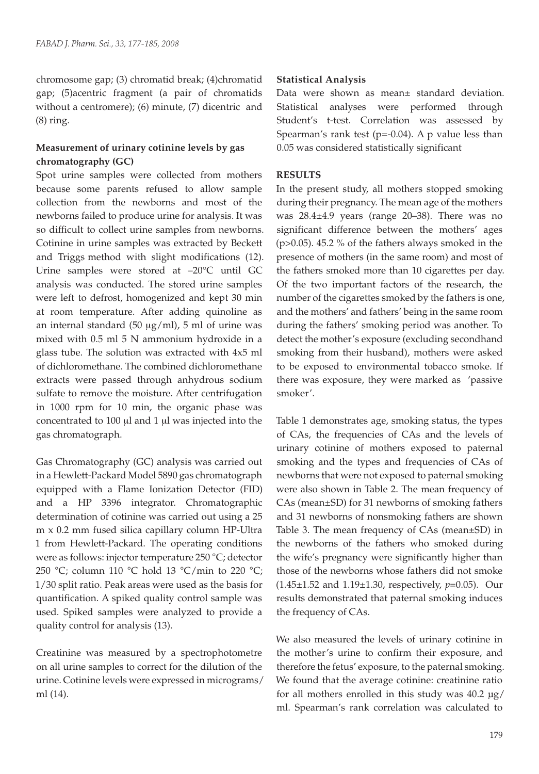chromosome gap; (3) chromatid break; (4)chromatid gap; (5)acentric fragment (a pair of chromatids without a centromere); (6) minute, (7) dicentric and (8) ring.

## **Measurement of urinary cotinine levels by gas chromatography (GC)**

Spot urine samples were collected from mothers because some parents refused to allow sample collection from the newborns and most of the newborns failed to produce urine for analysis. It was so difficult to collect urine samples from newborns. Cotinine in urine samples was extracted by Beckett and Triggs method with slight modifications (12). Urine samples were stored at –20°C until GC analysis was conducted. The stored urine samples were left to defrost, homogenized and kept 30 min at room temperature. After adding quinoline as an internal standard (50  $\mu$ g/ml), 5 ml of urine was mixed with 0.5 ml 5 N ammonium hydroxide in a glass tube. The solution was extracted with 4x5 ml of dichloromethane. The combined dichloromethane extracts were passed through anhydrous sodium sulfate to remove the moisture. After centrifugation in 1000 rpm for 10 min, the organic phase was concentrated to  $100 \mu l$  and  $1 \mu l$  was injected into the gas chromatograph.

Gas Chromatography (GC) analysis was carried out in a Hewlett-Packard Model 5890 gas chromatograph equipped with a Flame Ionization Detector (FID) and a HP 3396 integrator. Chromatographic determination of cotinine was carried out using a 25 m x 0.2 mm fused silica capillary column HP-Ultra 1 from Hewlett-Packard. The operating conditions were as follows: injector temperature 250 °C; detector 250 °C; column 110 °C hold 13 °C/min to 220 °C; 1/30 split ratio. Peak areas were used as the basis for quantification. A spiked quality control sample was used. Spiked samples were analyzed to provide a quality control for analysis (13).

Creatinine was measured by a spectrophotometre on all urine samples to correct for the dilution of the urine. Cotinine levels were expressed in micrograms/ ml (14).

## **Statistical Analysis**

Data were shown as mean± standard deviation. Statistical analyses were performed through Student's t-test. Correlation was assessed by Spearman's rank test  $(p=-0.04)$ . A p value less than 0.05 was considered statistically significant

## **RESULTS**

In the present study, all mothers stopped smoking during their pregnancy. The mean age of the mothers was 28.4±4.9 years (range 20–38). There was no significant difference between the mothers' ages (p>0.05). 45.2 % of the fathers always smoked in the presence of mothers (in the same room) and most of the fathers smoked more than 10 cigarettes per day. Of the two important factors of the research, the number of the cigarettes smoked by the fathers is one, and the mothers' and fathers' being in the same room during the fathers' smoking period was another. To detect the mother's exposure (excluding secondhand smoking from their husband), mothers were asked to be exposed to environmental tobacco smoke. If there was exposure, they were marked as 'passive smoker'.

Table 1 demonstrates age, smoking status, the types of CAs, the frequencies of CAs and the levels of urinary cotinine of mothers exposed to paternal smoking and the types and frequencies of CAs of newborns that were not exposed to paternal smoking were also shown in Table 2. The mean frequency of CAs (mean±SD) for 31 newborns of smoking fathers and 31 newborns of nonsmoking fathers are shown Table 3. The mean frequency of CAs (mean±SD) in the newborns of the fathers who smoked during the wife's pregnancy were significantly higher than those of the newborns whose fathers did not smoke (1.45±1.52 and 1.19±1.30, respectively, *p*=0.05). Our results demonstrated that paternal smoking induces the frequency of CAs.

We also measured the levels of urinary cotinine in the mother's urine to confirm their exposure, and therefore the fetus' exposure, to the paternal smoking. We found that the average cotinine: creatinine ratio for all mothers enrolled in this study was 40.2 µg/ ml. Spearman's rank correlation was calculated to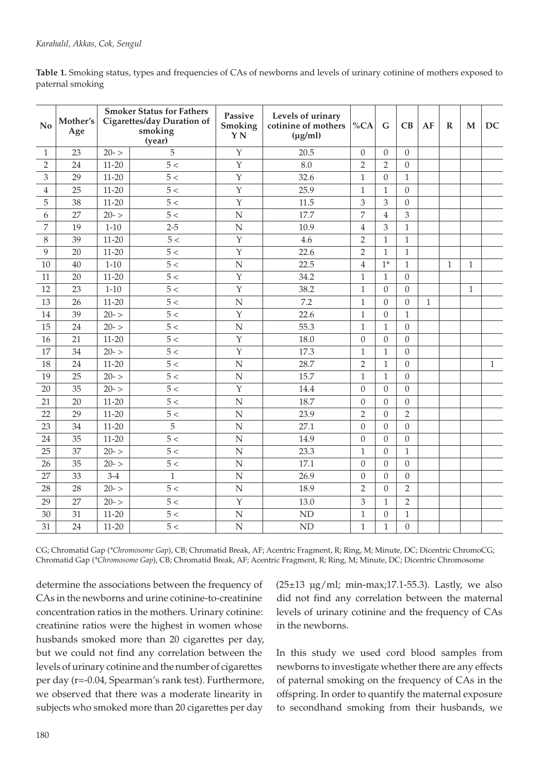| Table 1. Smoking status, types and frequencies of CAs of newborns and levels of urinary cotinine of mothers exposed to |  |
|------------------------------------------------------------------------------------------------------------------------|--|
| paternal smoking                                                                                                       |  |

| No             | Mother's<br>Age |           | <b>Smoker Status for Fathers</b><br>Cigarettes/day Duration of<br>smoking<br>(year) | Passive<br>Smoking<br>YN | Levels of urinary<br>cotinine of mothers<br>$(\mu g/ml)$ | %CA              | G                | CB               | AF           | $\mathbf R$  | M            | DC           |
|----------------|-----------------|-----------|-------------------------------------------------------------------------------------|--------------------------|----------------------------------------------------------|------------------|------------------|------------------|--------------|--------------|--------------|--------------|
| $\mathbf{1}$   | 23              | $20 - 5$  | 5                                                                                   | $\mathbf{Y}$             | 20.5                                                     | $\boldsymbol{0}$ | $\theta$         | $\overline{0}$   |              |              |              |              |
| 2              | 24              | $11 - 20$ | 5 <                                                                                 | Y                        | 8.0                                                      | $\overline{2}$   | $\overline{2}$   | $\overline{0}$   |              |              |              |              |
| 3              | 29              | $11 - 20$ | 5 <                                                                                 | $\mathbf{Y}$             | 32.6                                                     | $\mathbf{1}$     | $\theta$         | $\mathbf{1}$     |              |              |              |              |
| $\overline{4}$ | 25              | $11 - 20$ | 5 <                                                                                 | $\mathbf{Y}$             | 25.9                                                     | $\mathbf{1}$     | $\mathbf{1}$     | $\Omega$         |              |              |              |              |
| 5              | 38              | $11 - 20$ | $5<\,$                                                                              | $\mathbf{Y}$             | 11.5                                                     | 3                | 3                | $\theta$         |              |              |              |              |
| 6              | 27              | $20 - 5$  | 5<                                                                                  | $\mathbf N$              | 17.7                                                     | 7                | $\overline{4}$   | 3                |              |              |              |              |
| 7              | 19              | $1 - 10$  | $2 - 5$                                                                             | ${\bf N}$                | 10.9                                                     | $\overline{4}$   | 3                | $\mathbf{1}$     |              |              |              |              |
| 8              | 39              | $11 - 20$ | 5 <                                                                                 | Y                        | 4.6                                                      | $\overline{2}$   | $\mathbf{1}$     | $\mathbf{1}$     |              |              |              |              |
| 9              | 20              | $11 - 20$ | 5 <                                                                                 | Y                        | 22.6                                                     | $\overline{2}$   | $\mathbf{1}$     | $\mathbf{1}$     |              |              |              |              |
| 10             | 40              | $1 - 10$  | $5<$                                                                                | ${\bf N}$                | 22.5                                                     | $\overline{4}$   | $1*$             | $\mathbf{1}$     |              | $\mathbf{1}$ | $\mathbf{1}$ |              |
| 11             | 20              | $11 - 20$ | 5 <                                                                                 | Y                        | 34.2                                                     | $\,1\,$          | $\mathbf{1}$     | $\theta$         |              |              |              |              |
| 12             | 23              | $1 - 10$  | 5 <                                                                                 | $\mathbf Y$              | 38.2                                                     | $\mathbf{1}$     | $\overline{0}$   | $\theta$         |              |              | $\mathbf{1}$ |              |
| 13             | 26              | $11 - 20$ | 5 <                                                                                 | ${\bf N}$                | 7.2                                                      | $\,1\,$          | $\boldsymbol{0}$ | $\boldsymbol{0}$ | $\mathbf{1}$ |              |              |              |
| 14             | 39              | $20 - 5$  | 5 <                                                                                 | $\mathbf{Y}$             | 22.6                                                     | $\mathbf{1}$     | $\mathbf{0}$     | $\mathbf{1}$     |              |              |              |              |
| 15             | 24              | $20 - 5$  | 5 <                                                                                 | $\overline{N}$           | 55.3                                                     | $\mathbf{1}$     | $\mathbf{1}$     | $\Omega$         |              |              |              |              |
| 16             | 21              | $11 - 20$ | 5 <                                                                                 | $\mathbf Y$              | 18.0                                                     | $\boldsymbol{0}$ | $\boldsymbol{0}$ | $\theta$         |              |              |              |              |
| 17             | 34              | $20 - 5$  | 5 <                                                                                 | $\overline{Y}$           | 17.3                                                     | $\mathbf{1}$     | $\mathbf{1}$     | $\Omega$         |              |              |              |              |
| 18             | 24              | $11 - 20$ | $5<$                                                                                | $\mathbf N$              | 28.7                                                     | $\sqrt{2}$       | $1\,$            | $\theta$         |              |              |              | $\mathbf{1}$ |
| 19             | 25              | $20 - 5$  | 5 <                                                                                 | $\mathbf N$              | 15.7                                                     | $\mathbf{1}$     | $\mathbf{1}$     | $\Omega$         |              |              |              |              |
| 20             | 35              | $20 - 5$  | 5 <                                                                                 | Y                        | 14.4                                                     | $\boldsymbol{0}$ | $\theta$         | $\theta$         |              |              |              |              |
| 21             | 20              | $11 - 20$ | 5 <                                                                                 | $\mathbf N$              | 18.7                                                     | $\boldsymbol{0}$ | $\theta$         | $\theta$         |              |              |              |              |
| 22             | 29              | $11 - 20$ | 5 <                                                                                 | ${\bf N}$                | 23.9                                                     | $\overline{2}$   | $\boldsymbol{0}$ | $\overline{2}$   |              |              |              |              |
| 23             | 34              | $11 - 20$ | 5                                                                                   | $\mathbf N$              | 27.1                                                     | $\boldsymbol{0}$ | $\theta$         | $\mathbf{0}$     |              |              |              |              |
| 24             | 35              | $11 - 20$ | 5 <                                                                                 | ${\bf N}$                | 14.9                                                     | $\boldsymbol{0}$ | $\theta$         | $\boldsymbol{0}$ |              |              |              |              |
| 25             | 37              | $20 - 5$  | 5 <                                                                                 | $\mathbf N$              | 23.3                                                     | $\,1\,$          | $\boldsymbol{0}$ | $\mathbf{1}$     |              |              |              |              |
| 26             | 35              | $20 - 5$  | 5 <                                                                                 | $\overline{N}$           | 17.1                                                     | $\theta$         | $\Omega$         | $\Omega$         |              |              |              |              |
| 27             | 33              | $3-4$     | $\mathbf{1}$                                                                        | ${\bf N}$                | 26.9                                                     | $\boldsymbol{0}$ | $\theta$         | $\mathbf{0}$     |              |              |              |              |
| 28             | 28              | $20 - 5$  | 5 <                                                                                 | $\mathbf N$              | 18.9                                                     | $\overline{2}$   | $\Omega$         | $\overline{2}$   |              |              |              |              |
| 29             | 27              | $20 - 5$  | $5<$                                                                                | $\mathbf Y$              | 13.0                                                     | $\mathfrak{Z}$   | $\mathbf{1}$     | $\overline{2}$   |              |              |              |              |
| 30             | 31              | $11 - 20$ | 5 <                                                                                 | $\mathbf N$              | ${\rm ND}$                                               | $\mathbf{1}$     | $\overline{0}$   | $\mathbf{1}$     |              |              |              |              |
| 31             | 24              | $11 - 20$ | 5 <                                                                                 | $\mathbf N$              | <b>ND</b>                                                | $\,1\,$          | $\mathbf{1}$     | $\overline{0}$   |              |              |              |              |

CG; Chromatid Gap (*\*Chromosome Gap*), CB; Chromatid Break, AF; Acentric Fragment, R; Ring, M; Minute, DC; Dicentric ChromoCG; Chromatid Gap (*\*Chromosome Gap*), CB; Chromatid Break, AF; Acentric Fragment, R; Ring, M; Minute, DC; Dicentric Chromosome

determine the associations between the frequency of CAs in the newborns and urine cotinine-to-creatinine concentration ratios in the mothers. Urinary cotinine: creatinine ratios were the highest in women whose husbands smoked more than 20 cigarettes per day, but we could not find any correlation between the levels of urinary cotinine and the number of cigarettes per day (r=-0.04, Spearman's rank test). Furthermore, we observed that there was a moderate linearity in subjects who smoked more than 20 cigarettes per day

( $25±13$  µg/ml; min-max;17.1-55.3). Lastly, we also did not find any correlation between the maternal levels of urinary cotinine and the frequency of CAs in the newborns.

In this study we used cord blood samples from newborns to investigate whether there are any effects of paternal smoking on the frequency of CAs in the offspring. In order to quantify the maternal exposure to secondhand smoking from their husbands, we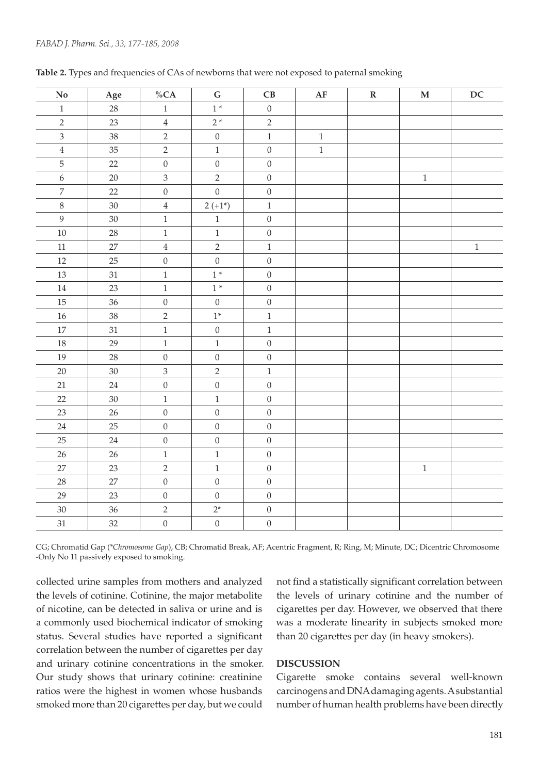| $\mathbf {No}$   | $\rm Age$ | $\%CA$           | ${\bf G}$        | $\mathbf C\mathbf B$ | $\bf AF$ | ${\bf R}$ | $\mathbf M$ | $\mathbf{D}\mathbf{C}$ |
|------------------|-----------|------------------|------------------|----------------------|----------|-----------|-------------|------------------------|
| $\,1\,$          | 28        | $\,1$            | $1*$             | $\boldsymbol{0}$     |          |           |             |                        |
| $\overline{c}$   | 23        | $\,4$            | $2*$             | $\overline{2}$       |          |           |             |                        |
| $\overline{3}$   | 38        | $\overline{2}$   | $\boldsymbol{0}$ | $\,1\,$              | $\,1\,$  |           |             |                        |
| $\,4$            | 35        | $\overline{2}$   | $\,1$            | $\boldsymbol{0}$     | $\,1\,$  |           |             |                        |
| 5                | 22        | $\boldsymbol{0}$ | $\boldsymbol{0}$ | $\boldsymbol{0}$     |          |           |             |                        |
| $\boldsymbol{6}$ | $20\,$    | $\mathfrak{Z}$   | $\sqrt{2}$       | $\boldsymbol{0}$     |          |           | $\,1\,$     |                        |
| $\boldsymbol{7}$ | 22        | $\boldsymbol{0}$ | $\boldsymbol{0}$ | $\boldsymbol{0}$     |          |           |             |                        |
| $8\,$            | $30\,$    | $\,4$            | $2 (+1*)$        | $\,1$                |          |           |             |                        |
| $\overline{9}$   | $30\,$    | $\,1$            | $\,1$            | $\boldsymbol{0}$     |          |           |             |                        |
| $10\,$           | 28        | $\,1$            | $\,1$            | $\boldsymbol{0}$     |          |           |             |                        |
| $11\,$           | $27\,$    | $\,4$            | $\sqrt{2}$       | $\,1\,$              |          |           |             | $\,1\,$                |
| $12\,$           | 25        | $\boldsymbol{0}$ | $\mathbf{0}$     | $\boldsymbol{0}$     |          |           |             |                        |
| 13               | 31        | $\,1$            | $1*$             | $\boldsymbol{0}$     |          |           |             |                        |
| $14\,$           | $23\,$    | $\,1\,$          | $1\,^*$          | $\boldsymbol{0}$     |          |           |             |                        |
| $15\,$           | 36        | $\boldsymbol{0}$ | $\boldsymbol{0}$ | $\boldsymbol{0}$     |          |           |             |                        |
| $16\,$           | 38        | $\overline{2}$   | $1^*$            | $\,1\,$              |          |           |             |                        |
| $17\,$           | 31        | $\,1\,$          | $\boldsymbol{0}$ | $\,1\,$              |          |           |             |                        |
| $18\,$           | 29        | $\,1$            | $\,1$            | $\boldsymbol{0}$     |          |           |             |                        |
| 19               | 28        | $\boldsymbol{0}$ | $\boldsymbol{0}$ | $\boldsymbol{0}$     |          |           |             |                        |
| $20\,$           | $30\,$    | $\mathfrak{Z}$   | $\sqrt{2}$       | $\,1\,$              |          |           |             |                        |
| 21               | $24\,$    | $\boldsymbol{0}$ | $\boldsymbol{0}$ | $\boldsymbol{0}$     |          |           |             |                        |
| 22               | $30\,$    | $\mathbf{1}$     | $\mathbf{1}$     | $\boldsymbol{0}$     |          |           |             |                        |
| $23\,$           | $26\,$    | $\boldsymbol{0}$ | $\boldsymbol{0}$ | $\boldsymbol{0}$     |          |           |             |                        |
| 24               | 25        | $\boldsymbol{0}$ | $\boldsymbol{0}$ | $\boldsymbol{0}$     |          |           |             |                        |
| $25\,$           | 24        | $\boldsymbol{0}$ | $\boldsymbol{0}$ | $\boldsymbol{0}$     |          |           |             |                        |
| $26\,$           | 26        | $\,1\,$          | $\,1$            | $\boldsymbol{0}$     |          |           |             |                        |
| $27\,$           | 23        | $\sqrt{2}$       | $\,1$            | $\boldsymbol{0}$     |          |           | $\,1$       |                        |
| $28\,$           | 27        | $\boldsymbol{0}$ | $\boldsymbol{0}$ | $\boldsymbol{0}$     |          |           |             |                        |
| 29               | 23        | $\boldsymbol{0}$ | $\boldsymbol{0}$ | $\boldsymbol{0}$     |          |           |             |                        |
| $30\,$           | 36        | $\overline{2}$   | $2^\ast$         | $\boldsymbol{0}$     |          |           |             |                        |
| 31               | 32        | $\boldsymbol{0}$ | $\boldsymbol{0}$ | $\boldsymbol{0}$     |          |           |             |                        |

Table 2. Types and frequencies of CAs of newborns that were not exposed to paternal smoking

CG; Chromatid Gap (*\*Chromosome Gap*), CB; Chromatid Break, AF; Acentric Fragment, R; Ring, M; Minute, DC; Dicentric Chromosome -Only No 11 passively exposed to smoking.

collected urine samples from mothers and analyzed the levels of cotinine. Cotinine, the major metabolite of nicotine, can be detected in saliva or urine and is a commonly used biochemical indicator of smoking status. Several studies have reported a significant correlation between the number of cigarettes per day and urinary cotinine concentrations in the smoker. Our study shows that urinary cotinine: creatinine ratios were the highest in women whose husbands smoked more than 20 cigarettes per day, but we could

not find a statistically significant correlation between the levels of urinary cotinine and the number of cigarettes per day. However, we observed that there was a moderate linearity in subjects smoked more than 20 cigarettes per day (in heavy smokers).

#### **DISCUSSION**

Cigarette smoke contains several well-known carcinogens and DNA damaging agents. A substantial number of human health problems have been directly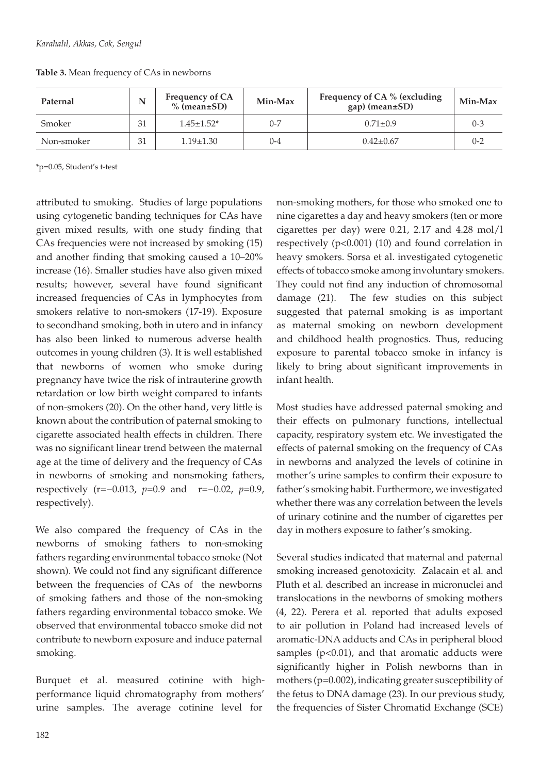| Paternal   |    | <b>Frequency of CA</b><br>$%$ (mean $\pm$ SD) | Min-Max | Frequency of CA % (excluding<br>$gap (mean \pm SD)$ | Min-Max |
|------------|----|-----------------------------------------------|---------|-----------------------------------------------------|---------|
| Smoker     | 31 | $1.45 \pm 1.52^*$                             | $0 - 7$ | $0.71 \pm 0.9$                                      | $0 - 3$ |
| Non-smoker | 31 | $1.19 \pm 1.30$                               | $0 - 4$ | $0.42 \pm 0.67$                                     | $0 - 2$ |

**Table 3.** Mean frequency of CAs in newborns

\*p=0.05, Student's t-test

attributed to smoking. Studies of large populations using cytogenetic banding techniques for CAs have given mixed results, with one study finding that CAs frequencies were not increased by smoking (15) and another finding that smoking caused a 10–20% increase (16). Smaller studies have also given mixed results; however, several have found significant increased frequencies of CAs in lymphocytes from smokers relative to non-smokers (17-19). Exposure to secondhand smoking, both in utero and in infancy has also been linked to numerous adverse health outcomes in young children (3). It is well established that newborns of women who smoke during pregnancy have twice the risk of intrauterine growth retardation or low birth weight compared to infants of non-smokers (20). On the other hand, very little is known about the contribution of paternal smoking to cigarette associated health effects in children. There was no significant linear trend between the maternal age at the time of delivery and the frequency of CAs in newborns of smoking and nonsmoking fathers, respectively (r=−0.013, *p*=0.9 and r=−0.02, *p*=0.9, respectively).

We also compared the frequency of CAs in the newborns of smoking fathers to non-smoking fathers regarding environmental tobacco smoke (Not shown). We could not find any significant difference between the frequencies of CAs of the newborns of smoking fathers and those of the non-smoking fathers regarding environmental tobacco smoke. We observed that environmental tobacco smoke did not contribute to newborn exposure and induce paternal smoking.

Burquet et al. measured cotinine with highperformance liquid chromatography from mothers' urine samples. The average cotinine level for

non-smoking mothers, for those who smoked one to nine cigarettes a day and heavy smokers (ten or more cigarettes per day) were 0.21, 2.17 and 4.28 mol/l respectively (p<0.001) (10) and found correlation in heavy smokers. Sorsa et al. investigated cytogenetic effects of tobacco smoke among involuntary smokers. They could not find any induction of chromosomal damage (21). The few studies on this subject suggested that paternal smoking is as important as maternal smoking on newborn development and childhood health prognostics. Thus, reducing exposure to parental tobacco smoke in infancy is likely to bring about significant improvements in infant health.

Most studies have addressed paternal smoking and their effects on pulmonary functions, intellectual capacity, respiratory system etc. We investigated the effects of paternal smoking on the frequency of CAs in newborns and analyzed the levels of cotinine in mother's urine samples to confirm their exposure to father's smoking habit. Furthermore, we investigated whether there was any correlation between the levels of urinary cotinine and the number of cigarettes per day in mothers exposure to father's smoking.

Several studies indicated that maternal and paternal smoking increased genotoxicity. Zalacain et al. and Pluth et al. described an increase in micronuclei and translocations in the newborns of smoking mothers (4, 22). Perera et al. reported that adults exposed to air pollution in Poland had increased levels of aromatic-DNA adducts and CAs in peripheral blood samples ( $p$ <0.01), and that aromatic adducts were significantly higher in Polish newborns than in mothers (p=0.002), indicating greater susceptibility of the fetus to DNA damage (23). In our previous study, the frequencies of Sister Chromatid Exchange (SCE)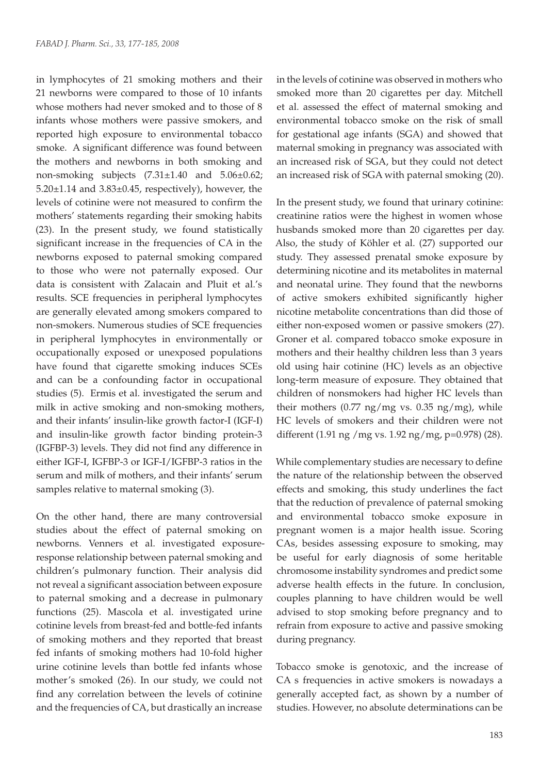in lymphocytes of 21 smoking mothers and their 21 newborns were compared to those of 10 infants whose mothers had never smoked and to those of 8 infants whose mothers were passive smokers, and reported high exposure to environmental tobacco smoke. A significant difference was found between the mothers and newborns in both smoking and non-smoking subjects (7.31±1.40 and 5.06±0.62;  $5.20 \pm 1.14$  and  $3.83 \pm 0.45$ , respectively), however, the levels of cotinine were not measured to confirm the mothers' statements regarding their smoking habits (23). In the present study, we found statistically significant increase in the frequencies of CA in the newborns exposed to paternal smoking compared to those who were not paternally exposed. Our data is consistent with Zalacain and Pluit et al.'s results. SCE frequencies in peripheral lymphocytes are generally elevated among smokers compared to non-smokers. Numerous studies of SCE frequencies in peripheral lymphocytes in environmentally or occupationally exposed or unexposed populations have found that cigarette smoking induces SCEs and can be a confounding factor in occupational studies (5). Ermis et al. investigated the serum and milk in active smoking and non-smoking mothers, and their infants' insulin-like growth factor-I (IGF-I) and insulin-like growth factor binding protein-3 (IGFBP-3) levels. They did not find any difference in either IGF-I, IGFBP-3 or IGF-I/IGFBP-3 ratios in the serum and milk of mothers, and their infants' serum samples relative to maternal smoking (3).

On the other hand, there are many controversial studies about the effect of paternal smoking on newborns. Venners et al. investigated exposureresponse relationship between paternal smoking and children's pulmonary function. Their analysis did not reveal a significant association between exposure to paternal smoking and a decrease in pulmonary functions (25). Mascola et al. investigated urine cotinine levels from breast-fed and bottle-fed infants of smoking mothers and they reported that breast fed infants of smoking mothers had 10-fold higher urine cotinine levels than bottle fed infants whose mother's smoked (26). In our study, we could not find any correlation between the levels of cotinine and the frequencies of CA, but drastically an increase

in the levels of cotinine was observed in mothers who smoked more than 20 cigarettes per day. Mitchell et al. assessed the effect of maternal smoking and environmental tobacco smoke on the risk of small for gestational age infants (SGA) and showed that maternal smoking in pregnancy was associated with an increased risk of SGA, but they could not detect an increased risk of SGA with paternal smoking (20).

In the present study, we found that urinary cotinine: creatinine ratios were the highest in women whose husbands smoked more than 20 cigarettes per day. Also, the study of Köhler et al. (27) supported our study. They assessed prenatal smoke exposure by determining nicotine and its metabolites in maternal and neonatal urine. They found that the newborns of active smokers exhibited significantly higher nicotine metabolite concentrations than did those of either non-exposed women or passive smokers (27). Groner et al. compared tobacco smoke exposure in mothers and their healthy children less than 3 years old using hair cotinine (HC) levels as an objective long-term measure of exposure. They obtained that children of nonsmokers had higher HC levels than their mothers  $(0.77 \text{ ng/mg vs. } 0.35 \text{ ng/mg})$ , while HC levels of smokers and their children were not different (1.91 ng /mg vs. 1.92 ng/mg, p=0.978) (28).

While complementary studies are necessary to define the nature of the relationship between the observed effects and smoking, this study underlines the fact that the reduction of prevalence of paternal smoking and environmental tobacco smoke exposure in pregnant women is a major health issue. Scoring CAs, besides assessing exposure to smoking, may be useful for early diagnosis of some heritable chromosome instability syndromes and predict some adverse health effects in the future. In conclusion, couples planning to have children would be well advised to stop smoking before pregnancy and to refrain from exposure to active and passive smoking during pregnancy.

Tobacco smoke is genotoxic, and the increase of CA s frequencies in active smokers is nowadays a generally accepted fact, as shown by a number of studies. However, no absolute determinations can be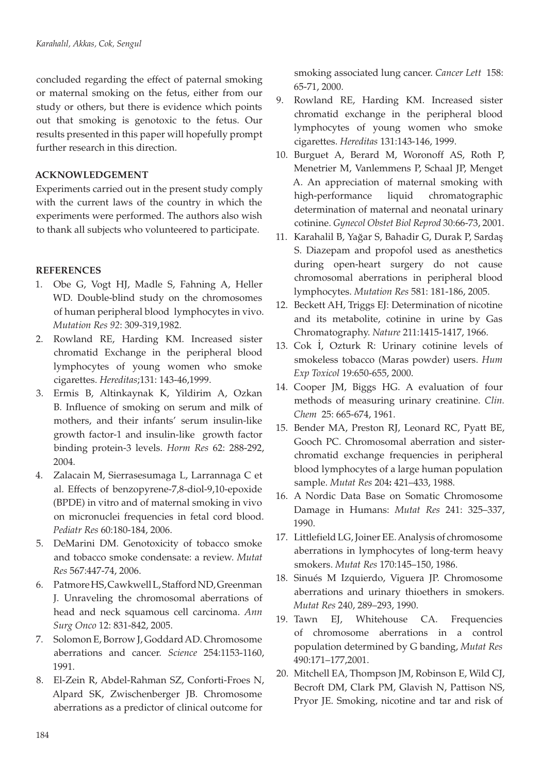concluded regarding the effect of paternal smoking or maternal smoking on the fetus, either from our study or others, but there is evidence which points out that smoking is genotoxic to the fetus. Our results presented in this paper will hopefully prompt further research in this direction.

## **ACKNOWLEDGEMENT**

Experiments carried out in the present study comply with the current laws of the country in which the experiments were performed. The authors also wish to thank all subjects who volunteered to participate.

# **REFERENCES**

- 1. Obe G, Vogt HJ, Madle S, Fahning A, Heller WD. Double-blind study on the chromosomes of human peripheral blood lymphocytes in vivo. *Mutation Res 92*: 309-319,1982.
- 2. Rowland RE, Harding KM. Increased sister chromatid Exchange in the peripheral blood lymphocytes of young women who smoke cigarettes. *Hereditas*;131: 143-46,1999.
- 3. Ermis B, Altinkaynak K, Yildirim A, Ozkan B. Influence of smoking on serum and milk of mothers, and their infants' serum insulin-like growth factor-1 and insulin-like growth factor binding protein-3 levels. *Horm Res* 62: 288-292, 2004.
- 4. Zalacain M, Sierrasesumaga L, Larrannaga C et al. Effects of benzopyrene-7,8-diol-9,10-epoxide (BPDE) in vitro and of maternal smoking in vivo on micronuclei frequencies in fetal cord blood. *Pediatr Res* 60:180-184, 2006.
- 5. DeMarini DM. Genotoxicity of tobacco smoke and tobacco smoke condensate: a review. *Mutat Res* 567:447-74, 2006.
- 6. Patmore HS, Cawkwell L, Stafford ND, Greenman J. Unraveling the chromosomal aberrations of head and neck squamous cell carcinoma. *Ann Surg Onco* 12: 831-842, 2005.
- 7. Solomon E, Borrow J, Goddard AD. Chromosome aberrations and cancer. *Science* 254:1153-1160, 1991.
- 8. El-Zein R, Abdel-Rahman SZ, Conforti-Froes N, Alpard SK, Zwischenberger JB. Chromosome aberrations as a predictor of clinical outcome for

smoking associated lung cancer. *Cancer Lett* 158: 65-71, 2000.

- 9. Rowland RE, Harding KM. Increased sister chromatid exchange in the peripheral blood lymphocytes of young women who smoke cigarettes. *Hereditas* 131:143-146, 1999.
- 10. Burguet A, Berard M, Woronoff AS, Roth P, Menetrier M, Vanlemmens P, Schaal JP, Menget A. An appreciation of maternal smoking with high-performance liquid chromatographic determination of maternal and neonatal urinary cotinine. *Gynecol Obstet Biol Reprod* 30:66-73, 2001.
- 11. Karahalil B, Yağar S, Bahadir G, Durak P, Sardaş S. Diazepam and propofol used as anesthetics during open-heart surgery do not cause chromosomal aberrations in peripheral blood lymphocytes. *Mutation Res* 581: 181-186, 2005.
- 12. Beckett AH, Triggs EJ: Determination of nicotine and its metabolite, cotinine in urine by Gas Chromatography. *Nature* 211:1415-1417, 1966.
- 13. Cok İ, Ozturk R: Urinary cotinine levels of smokeless tobacco (Maras powder) users. *Hum Exp Toxicol* 19:650-655, 2000.
- 14. Cooper JM, Biggs HG. A evaluation of four methods of measuring urinary creatinine. *Clin. Chem* 25: 665-674, 1961.
- 15. Bender MA, Preston RJ, Leonard RC, Pyatt BE, Gooch PC. Chromosomal aberration and sisterchromatid exchange frequencies in peripheral blood lymphocytes of a large human population sample. *Mutat Res* 204**:** 421–433, 1988.
- 16. A Nordic Data Base on Somatic Chromosome Damage in Humans: *Mutat Res* 241: 325–337, 1990.
- 17. Littlefield LG, Joiner EE. Analysis of chromosome aberrations in lymphocytes of long-term heavy smokers. *Mutat Res* 170:145–150, 1986.
- 18. Sinués M Izquierdo, Viguera JP. Chromosome aberrations and urinary thioethers in smokers. *Mutat Res* 240, 289–293, 1990.
- 19. Tawn EJ, Whitehouse CA. Frequencies of chromosome aberrations in a control population determined by G banding, *Mutat Res* 490:171–177,2001.
- 20. Mitchell EA, Thompson JM, Robinson E, Wild CJ, Becroft DM, Clark PM, Glavish N, Pattison NS, Pryor JE. Smoking, nicotine and tar and risk of